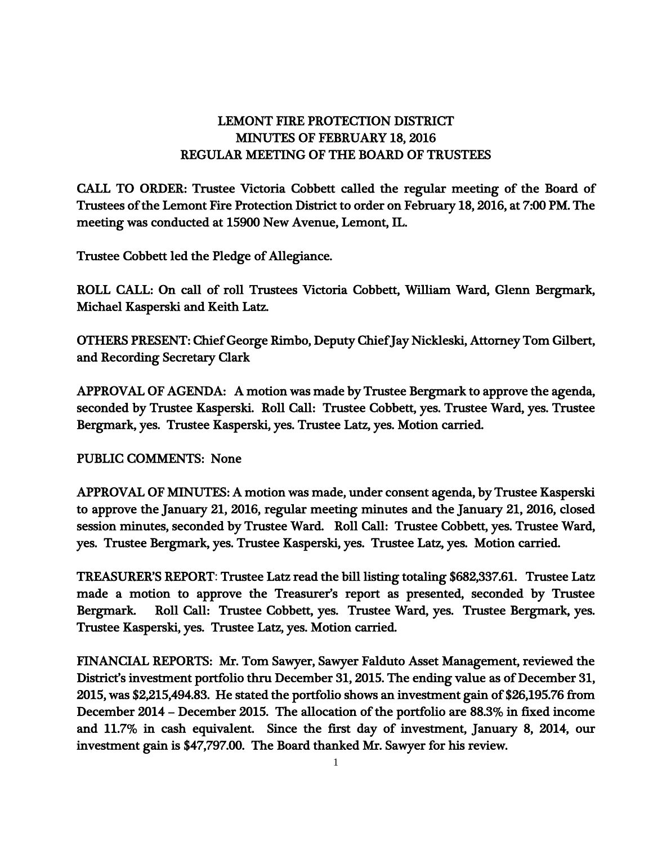## LEMONT FIRE PROTECTION DISTRICT MINUTES OF FEBRUARY 18, 2016 REGULAR MEETING OF THE BOARD OF TRUSTEES

CALL TO ORDER: Trustee Victoria Cobbett called the regular meeting of the Board of Trustees of the Lemont Fire Protection District to order on February 18, 2016, at 7:00 PM. The meeting was conducted at 15900 New Avenue, Lemont, IL.

Trustee Cobbett led the Pledge of Allegiance.

ROLL CALL: On call of roll Trustees Victoria Cobbett, William Ward, Glenn Bergmark, Michael Kasperski and Keith Latz.

OTHERS PRESENT: Chief George Rimbo, Deputy Chief Jay Nickleski, Attorney Tom Gilbert, and Recording Secretary Clark

APPROVAL OF AGENDA: A motion was made by Trustee Bergmark to approve the agenda, seconded by Trustee Kasperski. Roll Call: Trustee Cobbett, yes. Trustee Ward, yes. Trustee Bergmark, yes. Trustee Kasperski, yes. Trustee Latz, yes. Motion carried.

PUBLIC COMMENTS: None

APPROVAL OF MINUTES: A motion was made, under consent agenda, by Trustee Kasperski to approve the January 21, 2016, regular meeting minutes and the January 21, 2016, closed session minutes, seconded by Trustee Ward. Roll Call: Trustee Cobbett, yes. Trustee Ward, yes. Trustee Bergmark, yes. Trustee Kasperski, yes. Trustee Latz, yes. Motion carried.

TREASURER'S REPORT: Trustee Latz read the bill listing totaling \$682,337.61. Trustee Latz made a motion to approve the Treasurer's report as presented, seconded by Trustee Bergmark. Roll Call: Trustee Cobbett, yes. Trustee Ward, yes. Trustee Bergmark, yes. Trustee Kasperski, yes. Trustee Latz, yes. Motion carried.

FINANCIAL REPORTS: Mr. Tom Sawyer, Sawyer Falduto Asset Management, reviewed the District's investment portfolio thru December 31, 2015. The ending value as of December 31, 2015, was \$2,215,494.83. He stated the portfolio shows an investment gain of \$26,195.76 from December 2014 – December 2015. The allocation of the portfolio are 88.3% in fixed income and 11.7% in cash equivalent. Since the first day of investment, January 8, 2014, our investment gain is \$47,797.00. The Board thanked Mr. Sawyer for his review.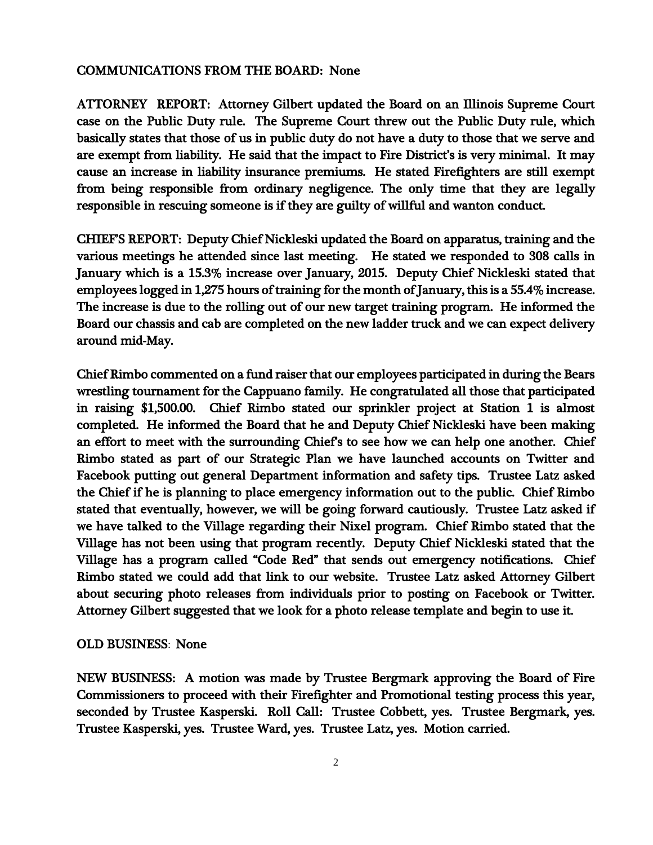## COMMUNICATIONS FROM THE BOARD: None

ATTORNEY REPORT: Attorney Gilbert updated the Board on an Illinois Supreme Court case on the Public Duty rule. The Supreme Court threw out the Public Duty rule, which basically states that those of us in public duty do not have a duty to those that we serve and are exempt from liability. He said that the impact to Fire District's is very minimal. It may cause an increase in liability insurance premiums. He stated Firefighters are still exempt from being responsible from ordinary negligence. The only time that they are legally responsible in rescuing someone is if they are guilty of willful and wanton conduct.

CHIEF'S REPORT: Deputy Chief Nickleski updated the Board on apparatus, training and the various meetings he attended since last meeting. He stated we responded to 308 calls in January which is a 15.3% increase over January, 2015. Deputy Chief Nickleski stated that employees logged in 1,275 hours of training for the month of January, this is a 55.4% increase. The increase is due to the rolling out of our new target training program. He informed the Board our chassis and cab are completed on the new ladder truck and we can expect delivery around mid-May.

Chief Rimbo commented on a fund raiser that our employees participated in during the Bears wrestling tournament for the Cappuano family. He congratulated all those that participated in raising \$1,500.00. Chief Rimbo stated our sprinkler project at Station 1 is almost completed. He informed the Board that he and Deputy Chief Nickleski have been making an effort to meet with the surrounding Chief's to see how we can help one another. Chief Rimbo stated as part of our Strategic Plan we have launched accounts on Twitter and Facebook putting out general Department information and safety tips. Trustee Latz asked the Chief if he is planning to place emergency information out to the public. Chief Rimbo stated that eventually, however, we will be going forward cautiously. Trustee Latz asked if we have talked to the Village regarding their Nixel program. Chief Rimbo stated that the Village has not been using that program recently. Deputy Chief Nickleski stated that the Village has a program called "Code Red" that sends out emergency notifications. Chief Rimbo stated we could add that link to our website. Trustee Latz asked Attorney Gilbert about securing photo releases from individuals prior to posting on Facebook or Twitter. Attorney Gilbert suggested that we look for a photo release template and begin to use it.

## OLD BUSINESS: None

NEW BUSINESS: A motion was made by Trustee Bergmark approving the Board of Fire Commissioners to proceed with their Firefighter and Promotional testing process this year, seconded by Trustee Kasperski. Roll Call: Trustee Cobbett, yes. Trustee Bergmark, yes. Trustee Kasperski, yes. Trustee Ward, yes. Trustee Latz, yes. Motion carried.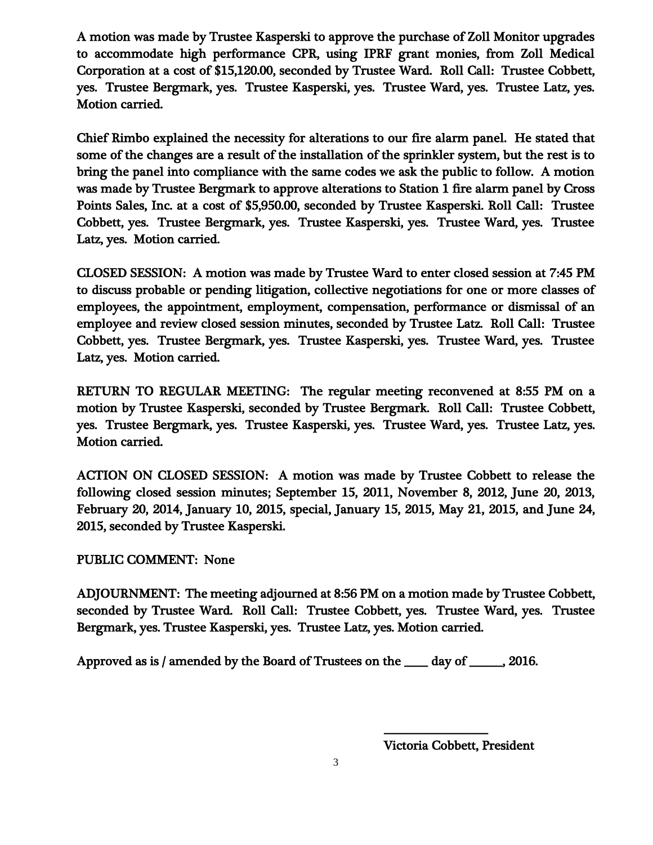A motion was made by Trustee Kasperski to approve the purchase of Zoll Monitor upgrades to accommodate high performance CPR, using IPRF grant monies, from Zoll Medical Corporation at a cost of \$15,120.00, seconded by Trustee Ward. Roll Call: Trustee Cobbett, yes. Trustee Bergmark, yes. Trustee Kasperski, yes. Trustee Ward, yes. Trustee Latz, yes. Motion carried.

Chief Rimbo explained the necessity for alterations to our fire alarm panel. He stated that some of the changes are a result of the installation of the sprinkler system, but the rest is to bring the panel into compliance with the same codes we ask the public to follow. A motion was made by Trustee Bergmark to approve alterations to Station 1 fire alarm panel by Cross Points Sales, Inc. at a cost of \$5,950.00, seconded by Trustee Kasperski. Roll Call: Trustee Cobbett, yes. Trustee Bergmark, yes. Trustee Kasperski, yes. Trustee Ward, yes. Trustee Latz, yes. Motion carried.

CLOSED SESSION: A motion was made by Trustee Ward to enter closed session at 7:45 PM to discuss probable or pending litigation, collective negotiations for one or more classes of employees, the appointment, employment, compensation, performance or dismissal of an employee and review closed session minutes, seconded by Trustee Latz. Roll Call: Trustee Cobbett, yes. Trustee Bergmark, yes. Trustee Kasperski, yes. Trustee Ward, yes. Trustee Latz, yes. Motion carried.

RETURN TO REGULAR MEETING: The regular meeting reconvened at 8:55 PM on a motion by Trustee Kasperski, seconded by Trustee Bergmark. Roll Call: Trustee Cobbett, yes. Trustee Bergmark, yes. Trustee Kasperski, yes. Trustee Ward, yes. Trustee Latz, yes. Motion carried.

ACTION ON CLOSED SESSION: A motion was made by Trustee Cobbett to release the following closed session minutes; September 15, 2011, November 8, 2012, June 20, 2013, February 20, 2014, January 10, 2015, special, January 15, 2015, May 21, 2015, and June 24, 2015, seconded by Trustee Kasperski.

## PUBLIC COMMENT: None

ADJOURNMENT: The meeting adjourned at 8:56 PM on a motion made by Trustee Cobbett, seconded by Trustee Ward. Roll Call: Trustee Cobbett, yes. Trustee Ward, yes. Trustee Bergmark, yes. Trustee Kasperski, yes. Trustee Latz, yes. Motion carried.

Approved as is / amended by the Board of Trustees on the \_\_\_\_\_ day of \_\_\_\_\_\_\_, 2016.

Victoria Cobbett, President

 $\overline{\phantom{a}}$